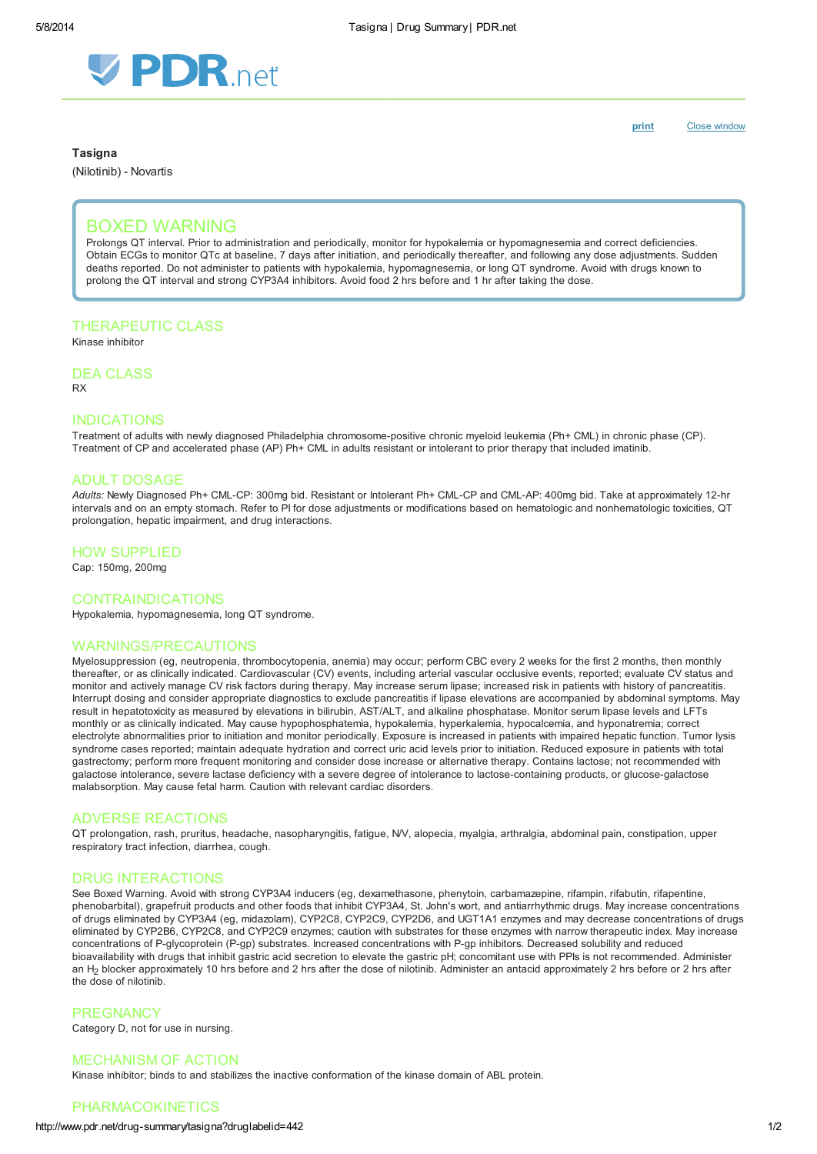

**Tasigna** 

(Nilotinib) - Novartis

[print](http://www.pdr.net/Custom/UI/UserControls/#) Close window

# BOXED WARNING

Prolongs QT interval. Prior to administration and periodically, monitor for hypokalemia or hypomagnesemia and correct deficiencies. Obtain ECGs to monitor QTc at baseline, 7 days after initiation, and periodically thereafter, and following any dose adjustments. Sudden deaths reported. Do not administer to patients with hypokalemia, hypomagnesemia, or long QT syndrome. Avoid with drugs known to prolong the QT interval and strong CYP3A4 inhibitors. Avoid food 2 hrs before and 1 hr after taking the dose.

## THERAPEUTIC CLASS

Kinase inhibitor

## DEA CLASS

RX

## INDICATIONS

Treatment of adults with newly diagnosed Philadelphia chromosome-positive chronic myeloid leukemia (Ph+ CML) in chronic phase (CP). Treatment of CP and accelerated phase (AP) Ph+ CML in adults resistant or intolerant to prior therapy that included imatinib.

#### ADULT DOSAGE

Adults: Newly Diagnosed Ph+ CML-CP: 300mg bid. Resistant or Intolerant Ph+ CML-CP and CML-AP: 400mg bid. Take at approximately 12-hr intervals and on an empty stomach. Refer to PI for dose adjustments or modifications based on hematologic and nonhematologic toxicities, QT prolongation, hepatic impairment, and drug interactions.

#### HOW SUPPLIED

Cap: 150mg, 200mg

#### CONTRAINDICATIONS

Hypokalemia, hypomagnesemia, long QT syndrome.

#### WARNINGS/PRECAUTIONS

Myelosuppression (eg, neutropenia, thrombocytopenia, anemia) may occur; perform CBC every 2 weeks for the first 2 months, then monthly thereafter, or as clinically indicated. Cardiovascular (CV) events, including arterial vascular occlusive events, reported; evaluate CV status and monitor and actively manage CV risk factors during therapy. May increase serum lipase; increased risk in patients with history of pancreatitis. Interrupt dosing and consider appropriate diagnostics to exclude pancreatitis if lipase elevations are accompanied by abdominal symptoms. May result in hepatotoxicity as measured by elevations in bilirubin, AST/ALT, and alkaline phosphatase. Monitor serum lipase levels and LFTs monthly or as clinically indicated. May cause hypophosphatemia, hypokalemia, hyperkalemia, hypocalcemia, and hyponatremia; correct electrolyte abnormalities prior to initiation and monitor periodically. Exposure is increased in patients with impaired hepatic function. Tumor lysis syndrome cases reported; maintain adequate hydration and correct uric acid levels prior to initiation. Reduced exposure in patients with total gastrectomy; perform more frequent monitoring and consider dose increase or alternative therapy. Contains lactose; not recommended with galactose intolerance, severe lactase deficiency with a severe degree of intolerance to lactose-containing products, or glucose-galactose malabsorption. May cause fetal harm. Caution with relevant cardiac disorders.

#### ADVERSE REACTIONS

QT prolongation, rash, pruritus, headache, nasopharyngitis, fatigue, N/V, alopecia, myalgia, arthralgia, abdominal pain, constipation, upper respiratory tract infection, diarrhea, cough.

### DRUG INTERACTIONS

See Boxed Warning. Avoid with strong CYP3A4 inducers (eg, dexamethasone, phenytoin, carbamazepine, rifampin, rifabutin, rifapentine, phenobarbital), grapefruit products and other foods that inhibit CYP3A4, St. John's wort, and antiarrhythmic drugs. May increase concentrations of drugs eliminated by CYP3A4 (eg, midazolam), CYP2C8, CYP2C9, CYP2D6, and UGT1A1 enzymes and may decrease concentrations of drugs eliminated by CYP2B6, CYP2C8, and CYP2C9 enzymes; caution with substrates for these enzymes with narrow therapeutic index. May increase concentrations of P-glycoprotein (P-gp) substrates. Increased concentrations with P-gp inhibitors. Decreased solubility and reduced bioavailability with drugs that inhibit gastric acid secretion to elevate the gastric pH; concomitant use with PPIs is not recommended. Administer an H<sub>2</sub> blocker approximately 10 hrs before and 2 hrs after the dose of nilotinib. Administer an antacid approximately 2 hrs before or 2 hrs after the dose of nilotinib.

## **PREGNANCY**

Category D, not for use in nursing.

### MECHANISM OF ACTION

Kinase inhibitor; binds to and stabilizes the inactive conformation of the kinase domain of ABL protein.

## PHARMACOKINETICS

#### http://www.pdr.net/drug-summary/tasigna?druglabelid=442 1/2